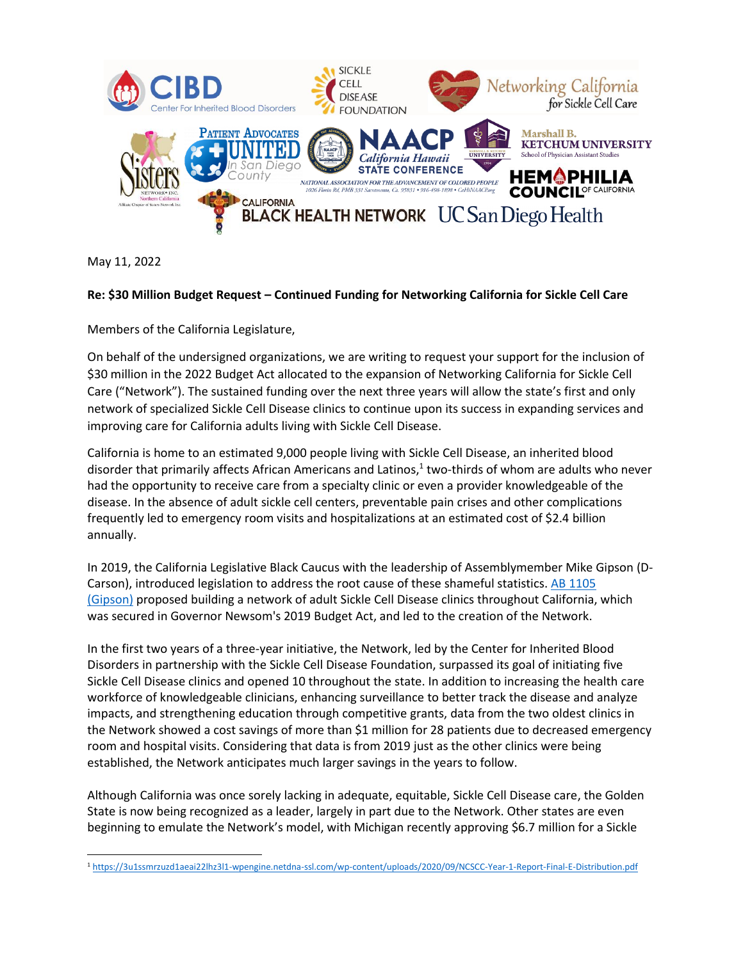

May 11, 2022

## **Re: \$30 Million Budget Request – Continued Funding for Networking California for Sickle Cell Care**

Members of the California Legislature,

On behalf of the undersigned organizations, we are writing to request your support for the inclusion of \$30 million in the 2022 Budget Act allocated to the expansion of Networking California for Sickle Cell Care ("Network"). The sustained funding over the next three years will allow the state's first and only network of specialized Sickle Cell Disease clinics to continue upon its success in expanding services and improving care for California adults living with Sickle Cell Disease.

California is home to an estimated 9,000 people living with Sickle Cell Disease, an inherited blood disorder that primarily affects African Americans and Latinos, 1 two-thirds of whom are adults who never had the opportunity to receive care from a specialty clinic or even a provider knowledgeable of the disease. In the absence of adult sickle cell centers, preventable pain crises and other complications frequently led to emergency room visits and hospitalizations at an estimated cost of \$2.4 billion annually.

In 2019, the California Legislative Black Caucus with the leadership of Assemblymember Mike Gipson (D-Carson), introduced legislation to address the root cause of these shameful statistics. [AB 1105](https://c212.net/c/link/?t=0&l=en&o=3343867-1&h=430216271&u=https%3A%2F%2Fleginfo.legislature.ca.gov%2Ffaces%2FbillTextClient.xhtml%3Fbill_id%3D201920200AB1105&a=AB+1105+(Gipson))  [\(Gipson\)](https://c212.net/c/link/?t=0&l=en&o=3343867-1&h=430216271&u=https%3A%2F%2Fleginfo.legislature.ca.gov%2Ffaces%2FbillTextClient.xhtml%3Fbill_id%3D201920200AB1105&a=AB+1105+(Gipson)) proposed building a network of adult Sickle Cell Disease clinics throughout California, which was secured in Governor Newsom's 2019 Budget Act, and led to the creation of the Network.

In the first two years of a three-year initiative, the Network, led by the Center for Inherited Blood Disorders in partnership with the Sickle Cell Disease Foundation, surpassed its goal of initiating five Sickle Cell Disease clinics and opened 10 throughout the state. In addition to increasing the health care workforce of knowledgeable clinicians, enhancing surveillance to better track the disease and analyze impacts, and strengthening education through competitive grants, data from the two oldest clinics in the Network showed a cost savings of more than \$1 million for 28 patients due to decreased emergency room and hospital visits. Considering that data is from 2019 just as the other clinics were being established, the Network anticipates much larger savings in the years to follow.

Although California was once sorely lacking in adequate, equitable, Sickle Cell Disease care, the Golden State is now being recognized as a leader, largely in part due to the Network. Other states are even beginning to emulate the Network's model, with Michigan recently approving \$6.7 million for a Sickle

<sup>1</sup> <https://3u1ssmrzuzd1aeai22lhz3l1-wpengine.netdna-ssl.com/wp-content/uploads/2020/09/NCSCC-Year-1-Report-Final-E-Distribution.pdf>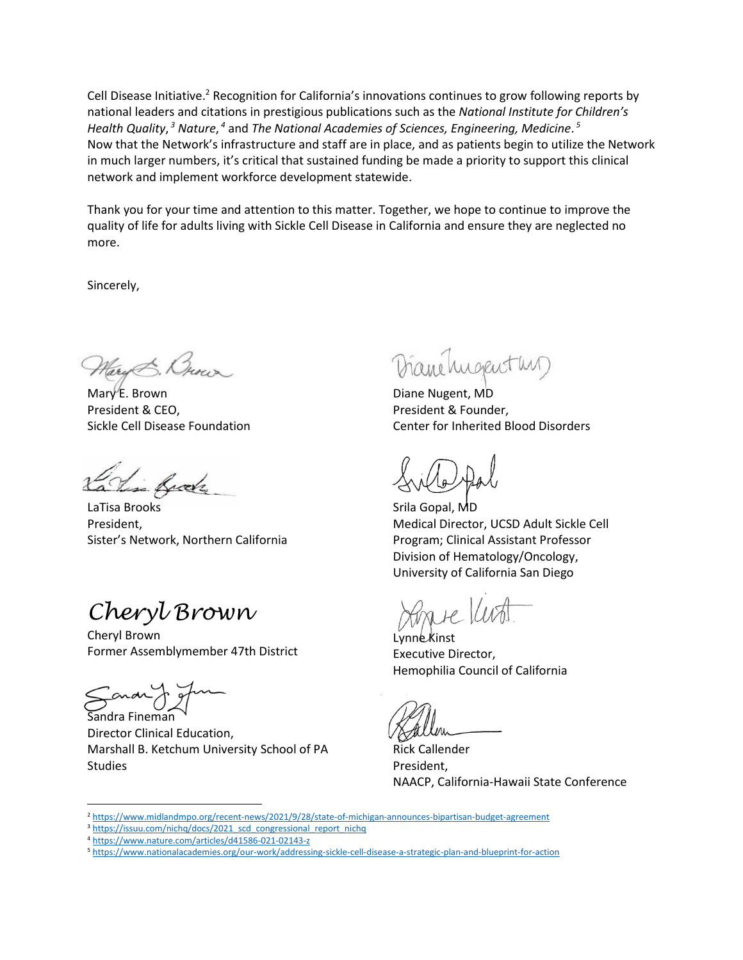Cell Disease Initiative.<sup>2</sup> Recognition for California's innovations continues to grow following reports by national leaders and citations in prestigious publications such as the *National Institute for Children's Health Quality*, *<sup>3</sup> Nature*, *<sup>4</sup>* and *The National Academies of Sciences, Engineering, Medicine*. *5* Now that the Network's infrastructure and staff are in place, and as patients begin to utilize the Network in much larger numbers, it's critical that sustained funding be made a priority to support this clinical network and implement workforce development statewide.

Thank you for your time and attention to this matter. Together, we hope to continue to improve the quality of life for adults living with Sickle Cell Disease in California and ensure they are neglected no more.

Sincerely,

Mary E. Brown President & CEO, Sickle Cell Disease Foundation

in frak

LaTisa Brooks President, Sister's Network, Northern California

*Cheryl Brown*

Cheryl Brown Former Assemblymember 47th District

Sandra Fineman

Director Clinical Education, Marshall B. Ketchum University School of PA Studies

Diane hugenstur

Diane Nugent, MD President & Founder, Center for Inherited Blood Disorders

Srila Gopal, MD Medical Director, UCSD Adult Sickle Cell Program; Clinical Assistant Professor Division of Hematology/Oncology, University of California San Diego

Lynne Kinst Executive Director, Hemophilia Council of California

Rick Callender President, NAACP, California-Hawaii State Conference

<sup>2</sup> <https://www.midlandmpo.org/recent-news/2021/9/28/state-of-michigan-announces-bipartisan-budget-agreement>

<sup>&</sup>lt;sup>3</sup> [https://issuu.com/nichq/docs/2021\\_scd\\_congressional\\_report\\_nichq](https://issuu.com/nichq/docs/2021_scd_congressional_report_nichq)

<sup>4</sup> <https://www.nature.com/articles/d41586-021-02143-z>

<sup>5</sup> <https://www.nationalacademies.org/our-work/addressing-sickle-cell-disease-a-strategic-plan-and-blueprint-for-action>